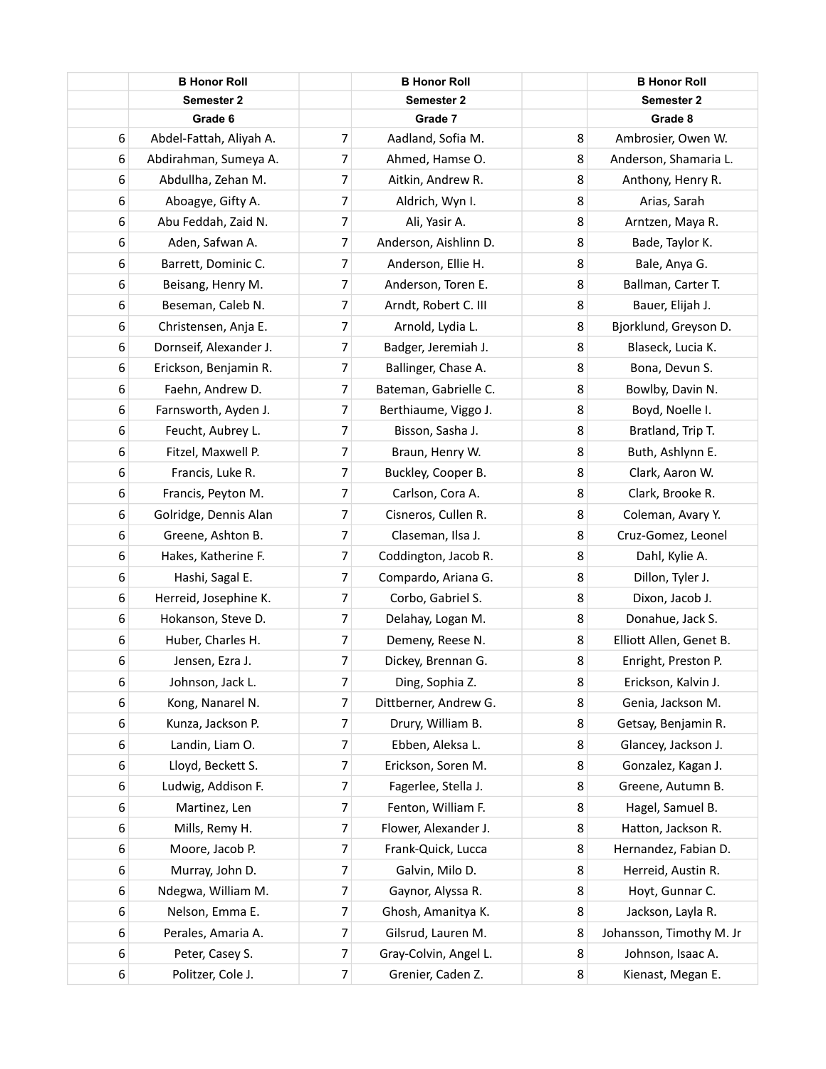|   | <b>B Honor Roll</b>     |                | <b>B Honor Roll</b>   |   | <b>B Honor Roll</b>      |
|---|-------------------------|----------------|-----------------------|---|--------------------------|
|   | Semester 2              |                | <b>Semester 2</b>     |   | <b>Semester 2</b>        |
|   | Grade 6                 |                | Grade 7               |   | Grade 8                  |
| 6 | Abdel-Fattah, Aliyah A. | 7              | Aadland, Sofia M.     | 8 | Ambrosier, Owen W.       |
| 6 | Abdirahman, Sumeya A.   | 7              | Ahmed, Hamse O.       | 8 | Anderson, Shamaria L.    |
| 6 | Abdullha, Zehan M.      | 7              | Aitkin, Andrew R.     | 8 | Anthony, Henry R.        |
| 6 | Aboagye, Gifty A.       | 7              | Aldrich, Wyn I.       | 8 | Arias, Sarah             |
| 6 | Abu Feddah, Zaid N.     | 7              | Ali, Yasir A.         | 8 | Arntzen, Maya R.         |
| 6 | Aden, Safwan A.         | 7              | Anderson, Aishlinn D. | 8 | Bade, Taylor K.          |
| 6 | Barrett, Dominic C.     | 7              | Anderson, Ellie H.    | 8 | Bale, Anya G.            |
| 6 | Beisang, Henry M.       | 7              | Anderson, Toren E.    | 8 | Ballman, Carter T.       |
| 6 | Beseman, Caleb N.       | 7              | Arndt, Robert C. III  | 8 | Bauer, Elijah J.         |
| 6 | Christensen, Anja E.    | 7              | Arnold, Lydia L.      | 8 | Bjorklund, Greyson D.    |
| 6 | Dornseif, Alexander J.  | 7              | Badger, Jeremiah J.   | 8 | Blaseck, Lucia K.        |
| 6 | Erickson, Benjamin R.   | 7              | Ballinger, Chase A.   | 8 | Bona, Devun S.           |
| 6 | Faehn, Andrew D.        | 7              | Bateman, Gabrielle C. | 8 | Bowlby, Davin N.         |
| 6 | Farnsworth, Ayden J.    | 7              | Berthiaume, Viggo J.  | 8 | Boyd, Noelle I.          |
| 6 | Feucht, Aubrey L.       | 7              | Bisson, Sasha J.      | 8 | Bratland, Trip T.        |
| 6 | Fitzel, Maxwell P.      | 7              | Braun, Henry W.       | 8 | Buth, Ashlynn E.         |
| 6 | Francis, Luke R.        | 7              | Buckley, Cooper B.    | 8 | Clark, Aaron W.          |
| 6 | Francis, Peyton M.      | 7              | Carlson, Cora A.      | 8 | Clark, Brooke R.         |
| 6 | Golridge, Dennis Alan   | $\overline{7}$ | Cisneros, Cullen R.   | 8 | Coleman, Avary Y.        |
| 6 | Greene, Ashton B.       | 7              | Claseman, Ilsa J.     | 8 | Cruz-Gomez, Leonel       |
| 6 | Hakes, Katherine F.     | 7              | Coddington, Jacob R.  | 8 | Dahl, Kylie A.           |
| 6 | Hashi, Sagal E.         | 7              | Compardo, Ariana G.   | 8 | Dillon, Tyler J.         |
| 6 | Herreid, Josephine K.   | 7              | Corbo, Gabriel S.     | 8 | Dixon, Jacob J.          |
| 6 | Hokanson, Steve D.      | 7              | Delahay, Logan M.     | 8 | Donahue, Jack S.         |
| 6 | Huber, Charles H.       | 7              | Demeny, Reese N.      | 8 | Elliott Allen, Genet B.  |
| 6 | Jensen, Ezra J.         | $\overline{7}$ | Dickey, Brennan G.    | 8 | Enright, Preston P.      |
| 6 | Johnson, Jack L.        | 7              | Ding, Sophia Z.       | 8 | Erickson, Kalvin J.      |
| 6 | Kong, Nanarel N.        | 7              | Dittberner, Andrew G. | 8 | Genia, Jackson M.        |
| 6 | Kunza, Jackson P.       | 7              | Drury, William B.     | 8 | Getsay, Benjamin R.      |
| 6 | Landin, Liam O.         | 7              | Ebben, Aleksa L.      | 8 | Glancey, Jackson J.      |
| 6 | Lloyd, Beckett S.       | 7              | Erickson, Soren M.    | 8 | Gonzalez, Kagan J.       |
| 6 | Ludwig, Addison F.      | 7              | Fagerlee, Stella J.   | 8 | Greene, Autumn B.        |
| 6 | Martinez, Len           | 7              | Fenton, William F.    | 8 | Hagel, Samuel B.         |
| 6 | Mills, Remy H.          | 7              | Flower, Alexander J.  | 8 | Hatton, Jackson R.       |
| 6 | Moore, Jacob P.         | 7              | Frank-Quick, Lucca    | 8 | Hernandez, Fabian D.     |
| 6 | Murray, John D.         | 7              | Galvin, Milo D.       | 8 | Herreid, Austin R.       |
| 6 | Ndegwa, William M.      | 7              | Gaynor, Alyssa R.     | 8 | Hoyt, Gunnar C.          |
| 6 | Nelson, Emma E.         | 7              | Ghosh, Amanitya K.    | 8 | Jackson, Layla R.        |
| 6 | Perales, Amaria A.      | 7              | Gilsrud, Lauren M.    | 8 | Johansson, Timothy M. Jr |
| 6 | Peter, Casey S.         | 7              | Gray-Colvin, Angel L. | 8 | Johnson, Isaac A.        |
| 6 | Politzer, Cole J.       | $\overline{7}$ | Grenier, Caden Z.     | 8 | Kienast, Megan E.        |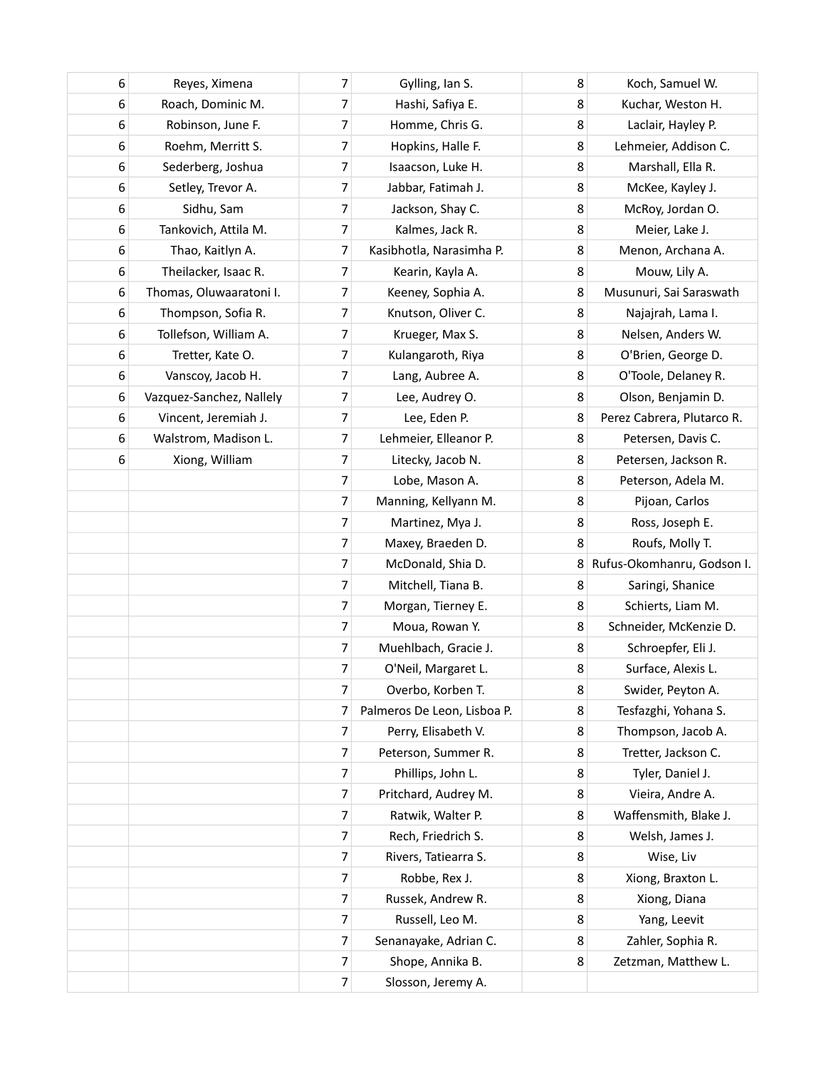| 6 | Reyes, Ximena            | 7              | Gylling, Ian S.             | 8 | Koch, Samuel W.            |
|---|--------------------------|----------------|-----------------------------|---|----------------------------|
| 6 | Roach, Dominic M.        | 7              | Hashi, Safiya E.            | 8 | Kuchar, Weston H.          |
| 6 | Robinson, June F.        | 7              | Homme, Chris G.             | 8 | Laclair, Hayley P.         |
| 6 | Roehm, Merritt S.        | 7              | Hopkins, Halle F.           | 8 | Lehmeier, Addison C.       |
| 6 | Sederberg, Joshua        | 7              | Isaacson, Luke H.           | 8 | Marshall, Ella R.          |
| 6 | Setley, Trevor A.        | 7              | Jabbar, Fatimah J.          | 8 | McKee, Kayley J.           |
| 6 | Sidhu, Sam               | 7              | Jackson, Shay C.            | 8 | McRoy, Jordan O.           |
| 6 | Tankovich, Attila M.     | $\overline{7}$ | Kalmes, Jack R.             | 8 | Meier, Lake J.             |
| 6 | Thao, Kaitlyn A.         | 7              | Kasibhotla, Narasimha P.    | 8 | Menon, Archana A.          |
| 6 | Theilacker, Isaac R.     | 7              | Kearin, Kayla A.            | 8 | Mouw, Lily A.              |
| 6 | Thomas, Oluwaaratoni I.  | 7              | Keeney, Sophia A.           | 8 | Musunuri, Sai Saraswath    |
| 6 | Thompson, Sofia R.       | 7              | Knutson, Oliver C.          | 8 | Najajrah, Lama I.          |
| 6 | Tollefson, William A.    | 7              | Krueger, Max S.             | 8 | Nelsen, Anders W.          |
| 6 | Tretter, Kate O.         | $\overline{7}$ | Kulangaroth, Riya           | 8 | O'Brien, George D.         |
| 6 | Vanscoy, Jacob H.        | 7              | Lang, Aubree A.             | 8 | O'Toole, Delaney R.        |
| 6 | Vazquez-Sanchez, Nallely | 7              | Lee, Audrey O.              | 8 | Olson, Benjamin D.         |
| 6 | Vincent, Jeremiah J.     | 7              | Lee, Eden P.                | 8 | Perez Cabrera, Plutarco R. |
| 6 | Walstrom, Madison L.     | 7              | Lehmeier, Elleanor P.       | 8 | Petersen, Davis C.         |
| 6 | Xiong, William           | 7              | Litecky, Jacob N.           | 8 | Petersen, Jackson R.       |
|   |                          | 7              | Lobe, Mason A.              | 8 | Peterson, Adela M.         |
|   |                          | 7              | Manning, Kellyann M.        | 8 | Pijoan, Carlos             |
|   |                          | 7              | Martinez, Mya J.            | 8 | Ross, Joseph E.            |
|   |                          | 7              | Maxey, Braeden D.           | 8 | Roufs, Molly T.            |
|   |                          | 7              | McDonald, Shia D.           | 8 | Rufus-Okomhanru, Godson I. |
|   |                          | 7              | Mitchell, Tiana B.          | 8 | Saringi, Shanice           |
|   |                          | 7              | Morgan, Tierney E.          | 8 | Schierts, Liam M.          |
|   |                          | 7              | Moua, Rowan Y.              | 8 | Schneider, McKenzie D.     |
|   |                          | 7              | Muehlbach, Gracie J.        | 8 | Schroepfer, Eli J.         |
|   |                          | $\overline{7}$ | O'Neil, Margaret L.         | 8 | Surface, Alexis L.         |
|   |                          | $\overline{7}$ | Overbo, Korben T.           | 8 | Swider, Peyton A.          |
|   |                          | 7              | Palmeros De Leon, Lisboa P. | 8 | Tesfazghi, Yohana S.       |
|   |                          | 7              | Perry, Elisabeth V.         | 8 | Thompson, Jacob A.         |
|   |                          | $\overline{7}$ | Peterson, Summer R.         | 8 | Tretter, Jackson C.        |
|   |                          | 7              | Phillips, John L.           | 8 | Tyler, Daniel J.           |
|   |                          | $\overline{7}$ | Pritchard, Audrey M.        | 8 | Vieira, Andre A.           |
|   |                          | $\overline{7}$ | Ratwik, Walter P.           | 8 | Waffensmith, Blake J.      |
|   |                          | 7              | Rech, Friedrich S.          | 8 | Welsh, James J.            |
|   |                          | $\overline{7}$ | Rivers, Tatiearra S.        | 8 | Wise, Liv                  |
|   |                          | $\overline{7}$ | Robbe, Rex J.               | 8 | Xiong, Braxton L.          |
|   |                          | $\overline{7}$ | Russek, Andrew R.           | 8 | Xiong, Diana               |
|   |                          | 7              | Russell, Leo M.             | 8 | Yang, Leevit               |
|   |                          | 7              | Senanayake, Adrian C.       | 8 | Zahler, Sophia R.          |
|   |                          | $\overline{7}$ | Shope, Annika B.            | 8 | Zetzman, Matthew L.        |
|   |                          | $\overline{7}$ | Slosson, Jeremy A.          |   |                            |